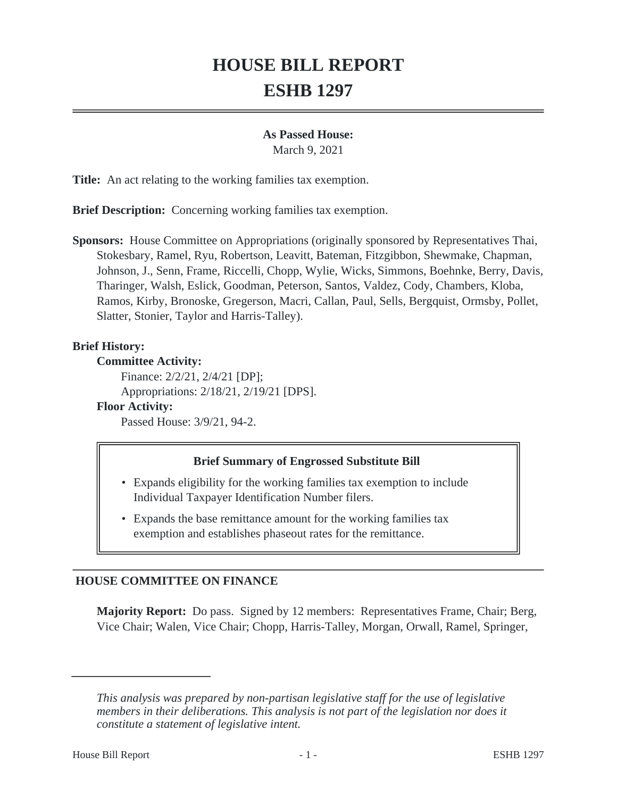# **HOUSE BILL REPORT ESHB 1297**

#### **As Passed House:**

March 9, 2021

**Title:** An act relating to the working families tax exemption.

**Brief Description:** Concerning working families tax exemption.

**Sponsors:** House Committee on Appropriations (originally sponsored by Representatives Thai, Stokesbary, Ramel, Ryu, Robertson, Leavitt, Bateman, Fitzgibbon, Shewmake, Chapman, Johnson, J., Senn, Frame, Riccelli, Chopp, Wylie, Wicks, Simmons, Boehnke, Berry, Davis, Tharinger, Walsh, Eslick, Goodman, Peterson, Santos, Valdez, Cody, Chambers, Kloba, Ramos, Kirby, Bronoske, Gregerson, Macri, Callan, Paul, Sells, Bergquist, Ormsby, Pollet, Slatter, Stonier, Taylor and Harris-Talley).

## **Brief History:**

#### **Committee Activity:**

Finance: 2/2/21, 2/4/21 [DP]; Appropriations: 2/18/21, 2/19/21 [DPS].

## **Floor Activity:**

Passed House: 3/9/21, 94-2.

#### **Brief Summary of Engrossed Substitute Bill**

- Expands eligibility for the working families tax exemption to include Individual Taxpayer Identification Number filers.
- Expands the base remittance amount for the working families tax exemption and establishes phaseout rates for the remittance.

# **HOUSE COMMITTEE ON FINANCE**

**Majority Report:** Do pass. Signed by 12 members: Representatives Frame, Chair; Berg, Vice Chair; Walen, Vice Chair; Chopp, Harris-Talley, Morgan, Orwall, Ramel, Springer,

*This analysis was prepared by non-partisan legislative staff for the use of legislative members in their deliberations. This analysis is not part of the legislation nor does it constitute a statement of legislative intent.*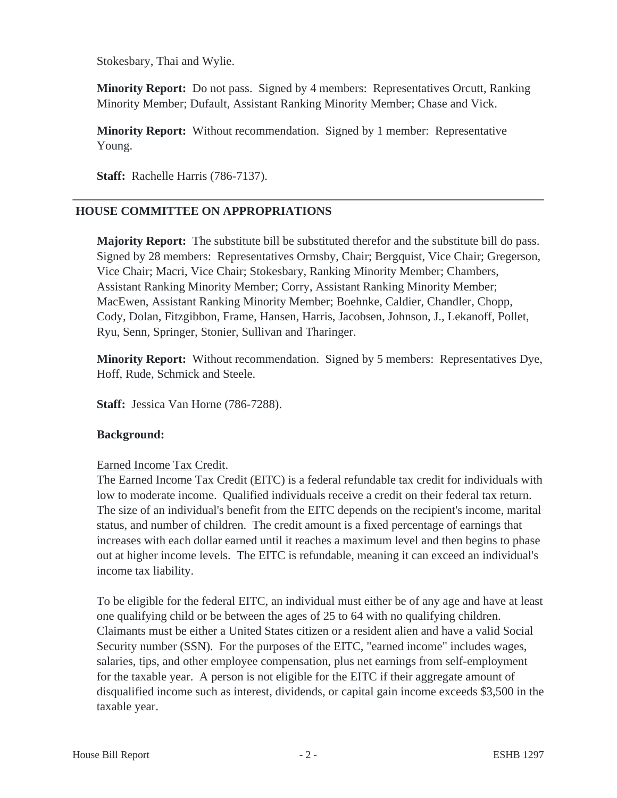Stokesbary, Thai and Wylie.

**Minority Report:** Do not pass. Signed by 4 members: Representatives Orcutt, Ranking Minority Member; Dufault, Assistant Ranking Minority Member; Chase and Vick.

**Minority Report:** Without recommendation. Signed by 1 member: Representative Young.

**Staff:** Rachelle Harris (786-7137).

# **HOUSE COMMITTEE ON APPROPRIATIONS**

**Majority Report:** The substitute bill be substituted therefor and the substitute bill do pass. Signed by 28 members: Representatives Ormsby, Chair; Bergquist, Vice Chair; Gregerson, Vice Chair; Macri, Vice Chair; Stokesbary, Ranking Minority Member; Chambers, Assistant Ranking Minority Member; Corry, Assistant Ranking Minority Member; MacEwen, Assistant Ranking Minority Member; Boehnke, Caldier, Chandler, Chopp, Cody, Dolan, Fitzgibbon, Frame, Hansen, Harris, Jacobsen, Johnson, J., Lekanoff, Pollet, Ryu, Senn, Springer, Stonier, Sullivan and Tharinger.

**Minority Report:** Without recommendation. Signed by 5 members: Representatives Dye, Hoff, Rude, Schmick and Steele.

**Staff:** Jessica Van Horne (786-7288).

# **Background:**

# Earned Income Tax Credit.

The Earned Income Tax Credit (EITC) is a federal refundable tax credit for individuals with low to moderate income. Qualified individuals receive a credit on their federal tax return. The size of an individual's benefit from the EITC depends on the recipient's income, marital status, and number of children. The credit amount is a fixed percentage of earnings that increases with each dollar earned until it reaches a maximum level and then begins to phase out at higher income levels. The EITC is refundable, meaning it can exceed an individual's income tax liability.

To be eligible for the federal EITC, an individual must either be of any age and have at least one qualifying child or be between the ages of 25 to 64 with no qualifying children. Claimants must be either a United States citizen or a resident alien and have a valid Social Security number (SSN). For the purposes of the EITC, "earned income" includes wages, salaries, tips, and other employee compensation, plus net earnings from self-employment for the taxable year. A person is not eligible for the EITC if their aggregate amount of disqualified income such as interest, dividends, or capital gain income exceeds \$3,500 in the taxable year.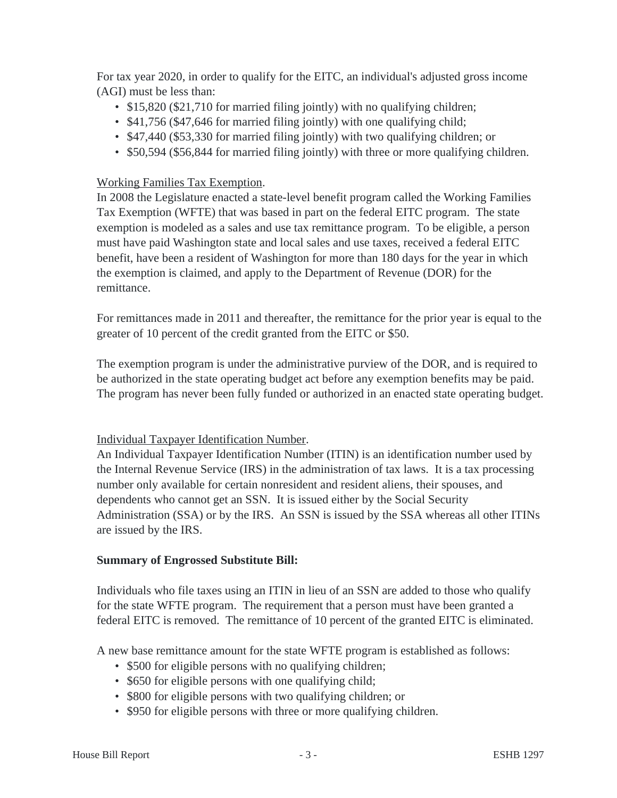For tax year 2020, in order to qualify for the EITC, an individual's adjusted gross income (AGI) must be less than:

- \$15,820 (\$21,710 for married filing jointly) with no qualifying children;
- \$41,756 (\$47,646 for married filing jointly) with one qualifying child;
- \$47,440 (\$53,330 for married filing jointly) with two qualifying children; or
- \$50,594 (\$56,844 for married filing jointly) with three or more qualifying children.

## Working Families Tax Exemption.

In 2008 the Legislature enacted a state-level benefit program called the Working Families Tax Exemption (WFTE) that was based in part on the federal EITC program. The state exemption is modeled as a sales and use tax remittance program. To be eligible, a person must have paid Washington state and local sales and use taxes, received a federal EITC benefit, have been a resident of Washington for more than 180 days for the year in which the exemption is claimed, and apply to the Department of Revenue (DOR) for the remittance.

For remittances made in 2011 and thereafter, the remittance for the prior year is equal to the greater of 10 percent of the credit granted from the EITC or \$50.

The exemption program is under the administrative purview of the DOR, and is required to be authorized in the state operating budget act before any exemption benefits may be paid. The program has never been fully funded or authorized in an enacted state operating budget.

#### Individual Taxpayer Identification Number.

An Individual Taxpayer Identification Number (ITIN) is an identification number used by the Internal Revenue Service (IRS) in the administration of tax laws. It is a tax processing number only available for certain nonresident and resident aliens, their spouses, and dependents who cannot get an SSN. It is issued either by the Social Security Administration (SSA) or by the IRS. An SSN is issued by the SSA whereas all other ITINs are issued by the IRS.

#### **Summary of Engrossed Substitute Bill:**

Individuals who file taxes using an ITIN in lieu of an SSN are added to those who qualify for the state WFTE program. The requirement that a person must have been granted a federal EITC is removed. The remittance of 10 percent of the granted EITC is eliminated.

A new base remittance amount for the state WFTE program is established as follows:

- \$500 for eligible persons with no qualifying children;
- \$650 for eligible persons with one qualifying child;
- \$800 for eligible persons with two qualifying children; or
- \$950 for eligible persons with three or more qualifying children.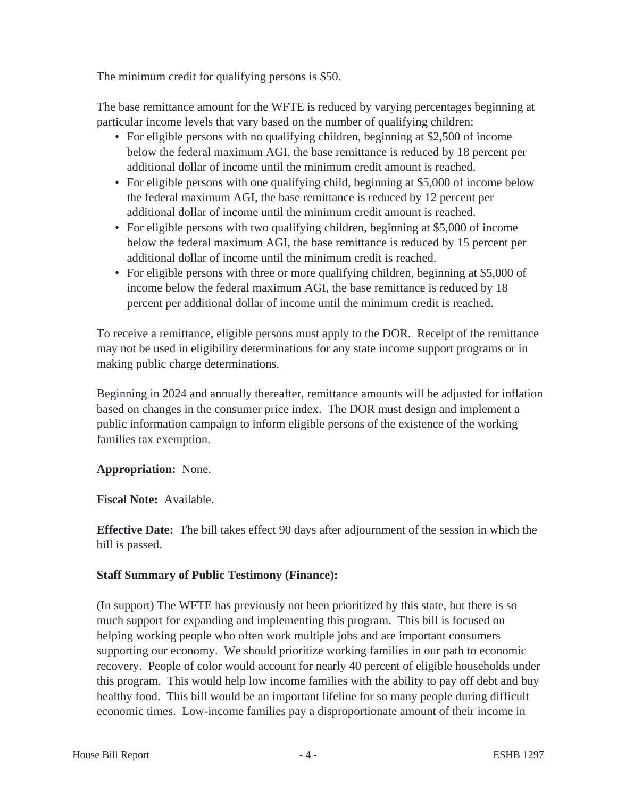The minimum credit for qualifying persons is \$50.

The base remittance amount for the WFTE is reduced by varying percentages beginning at particular income levels that vary based on the number of qualifying children:

- For eligible persons with no qualifying children, beginning at \$2,500 of income below the federal maximum AGI, the base remittance is reduced by 18 percent per additional dollar of income until the minimum credit amount is reached.
- For eligible persons with one qualifying child, beginning at \$5,000 of income below the federal maximum AGI, the base remittance is reduced by 12 percent per additional dollar of income until the minimum credit amount is reached.
- For eligible persons with two qualifying children, beginning at \$5,000 of income below the federal maximum AGI, the base remittance is reduced by 15 percent per additional dollar of income until the minimum credit is reached.
- For eligible persons with three or more qualifying children, beginning at \$5,000 of income below the federal maximum AGI, the base remittance is reduced by 18 percent per additional dollar of income until the minimum credit is reached.

To receive a remittance, eligible persons must apply to the DOR. Receipt of the remittance may not be used in eligibility determinations for any state income support programs or in making public charge determinations.

Beginning in 2024 and annually thereafter, remittance amounts will be adjusted for inflation based on changes in the consumer price index. The DOR must design and implement a public information campaign to inform eligible persons of the existence of the working families tax exemption.

# **Appropriation:** None.

**Fiscal Note:** Available.

**Effective Date:** The bill takes effect 90 days after adjournment of the session in which the bill is passed.

# **Staff Summary of Public Testimony (Finance):**

(In support) The WFTE has previously not been prioritized by this state, but there is so much support for expanding and implementing this program. This bill is focused on helping working people who often work multiple jobs and are important consumers supporting our economy. We should prioritize working families in our path to economic recovery. People of color would account for nearly 40 percent of eligible households under this program. This would help low income families with the ability to pay off debt and buy healthy food. This bill would be an important lifeline for so many people during difficult economic times. Low-income families pay a disproportionate amount of their income in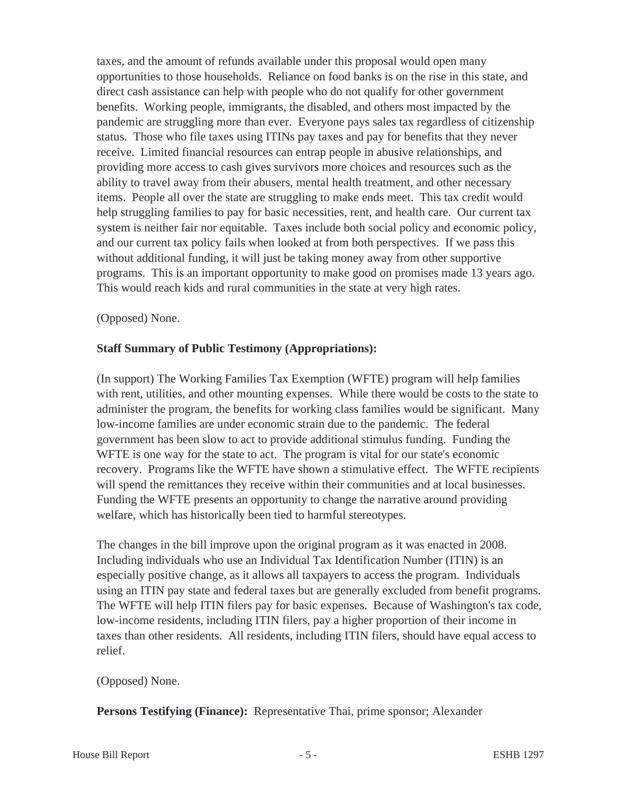taxes, and the amount of refunds available under this proposal would open many opportunities to those households. Reliance on food banks is on the rise in this state, and direct cash assistance can help with people who do not qualify for other government benefits. Working people, immigrants, the disabled, and others most impacted by the pandemic are struggling more than ever. Everyone pays sales tax regardless of citizenship status. Those who file taxes using ITINs pay taxes and pay for benefits that they never receive. Limited financial resources can entrap people in abusive relationships, and providing more access to cash gives survivors more choices and resources such as the ability to travel away from their abusers, mental health treatment, and other necessary items. People all over the state are struggling to make ends meet. This tax credit would help struggling families to pay for basic necessities, rent, and health care. Our current tax system is neither fair nor equitable. Taxes include both social policy and economic policy, and our current tax policy fails when looked at from both perspectives. If we pass this without additional funding, it will just be taking money away from other supportive programs. This is an important opportunity to make good on promises made 13 years ago. This would reach kids and rural communities in the state at very high rates.

## (Opposed) None.

# **Staff Summary of Public Testimony (Appropriations):**

(In support) The Working Families Tax Exemption (WFTE) program will help families with rent, utilities, and other mounting expenses. While there would be costs to the state to administer the program, the benefits for working class families would be significant. Many low-income families are under economic strain due to the pandemic. The federal government has been slow to act to provide additional stimulus funding. Funding the WFTE is one way for the state to act. The program is vital for our state's economic recovery. Programs like the WFTE have shown a stimulative effect. The WFTE recipients will spend the remittances they receive within their communities and at local businesses. Funding the WFTE presents an opportunity to change the narrative around providing welfare, which has historically been tied to harmful stereotypes.

The changes in the bill improve upon the original program as it was enacted in 2008. Including individuals who use an Individual Tax Identification Number (ITIN) is an especially positive change, as it allows all taxpayers to access the program. Individuals using an ITIN pay state and federal taxes but are generally excluded from benefit programs. The WFTE will help ITIN filers pay for basic expenses. Because of Washington's tax code, low-income residents, including ITIN filers, pay a higher proportion of their income in taxes than other residents. All residents, including ITIN filers, should have equal access to relief.

#### (Opposed) None.

**Persons Testifying (Finance):** Representative Thai, prime sponsor; Alexander